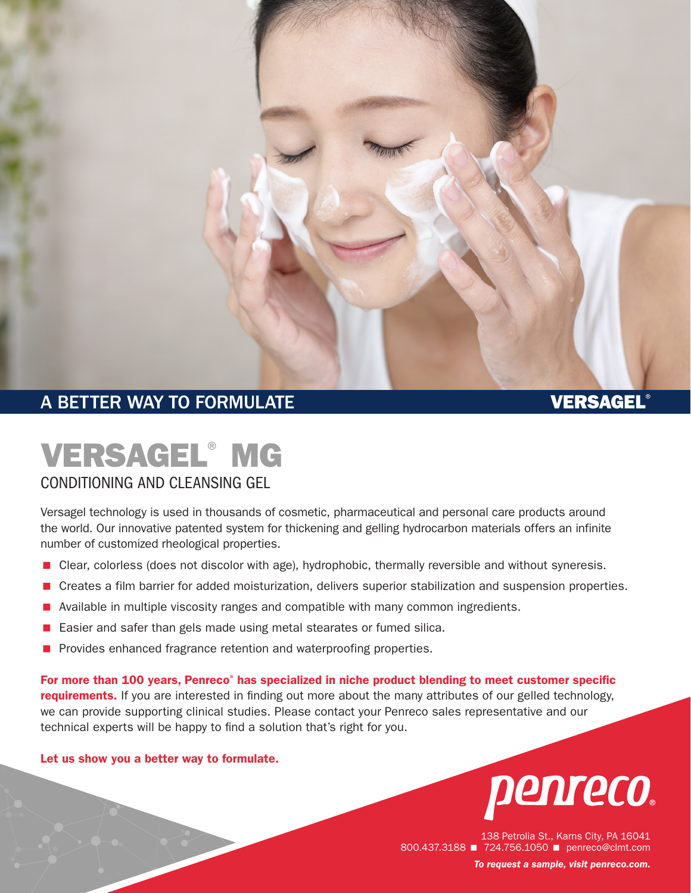

### A BETTER WAY TO FORMULATE A RESIDENCE OF A BETTER WAY TO FORMULATE

## VERSAGEL® MG

#### CONDITIONING AND CLEANSING GEL

Versagel technology is used in thousands of cosmetic, pharmaceutical and personal care products around the world. Our innovative patented system for thickening and gelling hydrocarbon materials offers an infinite number of customized rheological properties.

- **E** Clear, colorless (does not discolor with age), hydrophobic, thermally reversible and without syneresis.
- < Creates a film barrier for added moisturization, delivers superior stabilization and suspension properties.
- Available in multiple viscosity ranges and compatible with many common ingredients.
- < Easier and safer than gels made using metal stearates or fumed silica.
- **Provides enhanced fragrance retention and waterproofing properties.**

For more than 100 years, Penreco<sup>®</sup> has specialized in niche product blending to meet customer specific requirements. If you are interested in finding out more about the many attributes of our gelled technology, we can provide supporting clinical studies. Please contact your Penreco sales representative and our technical experts will be happy to find a solution that's right for you.

#### Let us show you a better way to formulate.



138 Petrolia St., Karns City, PA 16041 800.437.3188 **1 724.756.1050** penreco@clmt.com *To request a sample, visit [penreco.com](http://penreco.com/).*